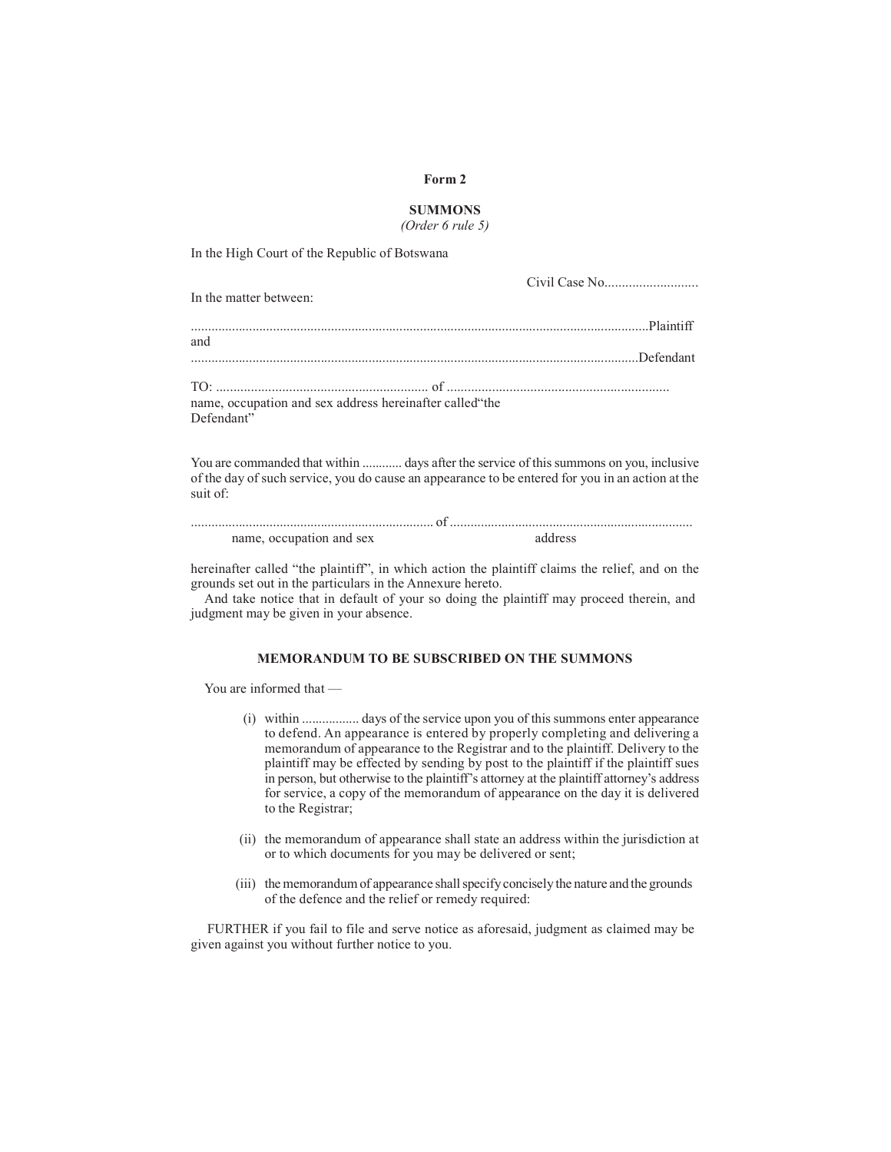#### **Form 2**

### **SUMMONS**

*(Order 6 rule 5)*

In the High Court of the Republic of Botswana

In the matter between:

Civil Case No...........................

| and                                                      |  |
|----------------------------------------------------------|--|
|                                                          |  |
|                                                          |  |
|                                                          |  |
| name, occupation and sex address hereinafter called "the |  |
| Defendant"                                               |  |

You are commanded that within ............ days after the service of this summons on you, inclusive of the day of such service, you do cause an appearance to be entered for you in an action at the suit of:

| name, occupation and sex | address |
|--------------------------|---------|

hereinafter called "the plaintiff", in which action the plaintiff claims the relief, and on the grounds set out in the particulars in the Annexure hereto.

And take notice that in default of your so doing the plaintiff may proceed therein, and judgment may be given in your absence.

### **MEMORANDUM TO BE SUBSCRIBED ON THE SUMMONS**

You are informed that —

- (i) within ................. days of the service upon you of this summons enter appearance to defend. An appearance is entered by properly completing and delivering a memorandum of appearance to the Registrar and to the plaintiff. Delivery to the plaintiff may be effected by sending by post to the plaintiff if the plaintiff sues in person, but otherwise to the plaintiff's attorney at the plaintiff attorney's address for service, a copy of the memorandum of appearance on the day it is delivered to the Registrar;
- (ii) the memorandum of appearance shall state an address within the jurisdiction at or to which documents for you may be delivered or sent;
- (iii) the memorandum of appearance shall specify concisely the nature and the grounds of the defence and the relief or remedy required:

FURTHER if you fail to file and serve notice as aforesaid, judgment as claimed may be given against you without further notice to you.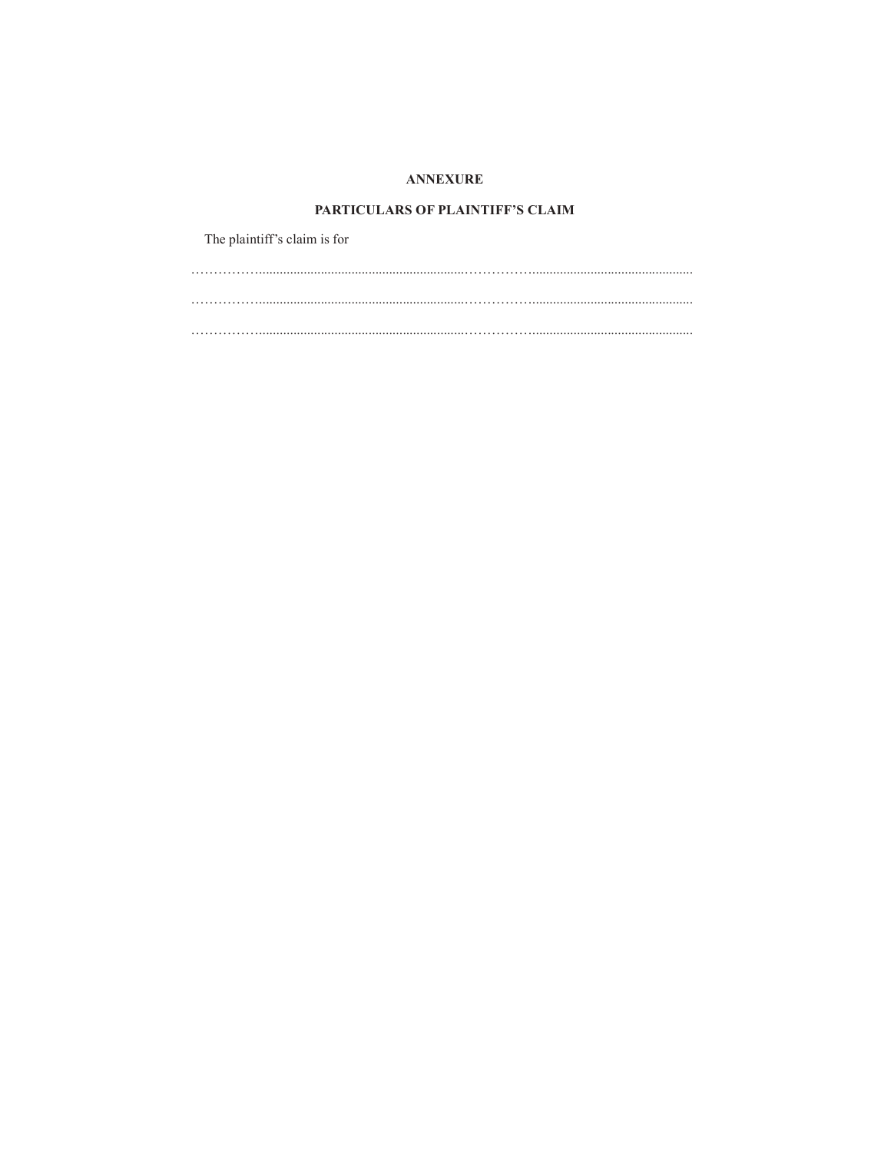# **ANNEXURE**

### PARTICULARS OF PLAINTIFF'S CLAIM

The plaintiff's claim is for